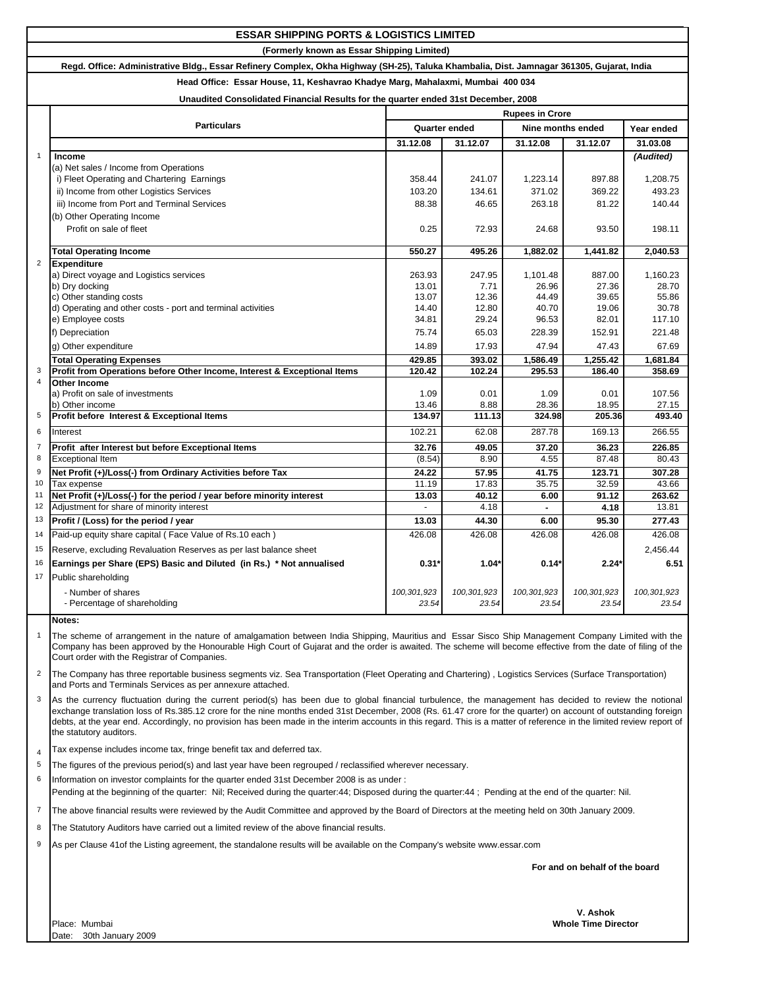## **ESSAR SHIPPING PORTS & LOGISTICS LIMITED**

**(Formerly known as Essar Shipping Limited)**

## **Regd. Office: Administrative Bldg., Essar Refinery Complex, Okha Highway (SH-25), Taluka Khambalia, Dist. Jamnagar 361305, Gujarat, India**

**Head Office: Essar House, 11, Keshavrao Khadye Marg, Mahalaxmi, Mumbai 400 034**

## **Unaudited Consolidated Financial Results for the quarter ended 31st December, 2008**

|                  |                                                                                                                                                                                                                                                                                                                                                                   | onaudited Consolidated Financial Results for the quarter ended 31st December, 2006<br><b>Rupees in Crore</b> |                |                   |                |                |  |  |
|------------------|-------------------------------------------------------------------------------------------------------------------------------------------------------------------------------------------------------------------------------------------------------------------------------------------------------------------------------------------------------------------|--------------------------------------------------------------------------------------------------------------|----------------|-------------------|----------------|----------------|--|--|
|                  | <b>Particulars</b>                                                                                                                                                                                                                                                                                                                                                | Quarter ended                                                                                                |                | Nine months ended |                | Year ended     |  |  |
|                  |                                                                                                                                                                                                                                                                                                                                                                   | 31.12.08                                                                                                     | 31.12.07       | 31.12.08          | 31.12.07       | 31.03.08       |  |  |
| $\mathbf{1}$     | Income                                                                                                                                                                                                                                                                                                                                                            |                                                                                                              |                |                   |                | (Audited)      |  |  |
|                  | (a) Net sales / Income from Operations                                                                                                                                                                                                                                                                                                                            |                                                                                                              |                |                   |                |                |  |  |
|                  | i) Fleet Operating and Chartering Earnings                                                                                                                                                                                                                                                                                                                        | 358.44                                                                                                       | 241.07         | 1,223.14          | 897.88         | 1,208.75       |  |  |
|                  | ii) Income from other Logistics Services                                                                                                                                                                                                                                                                                                                          | 103.20                                                                                                       | 134.61         | 371.02            | 369.22         | 493.23         |  |  |
|                  | iii) Income from Port and Terminal Services                                                                                                                                                                                                                                                                                                                       | 88.38                                                                                                        | 46.65          | 263.18            | 81.22          | 140.44         |  |  |
|                  | (b) Other Operating Income                                                                                                                                                                                                                                                                                                                                        |                                                                                                              |                |                   |                |                |  |  |
|                  | Profit on sale of fleet                                                                                                                                                                                                                                                                                                                                           | 0.25                                                                                                         | 72.93          | 24.68             | 93.50          | 198.11         |  |  |
|                  |                                                                                                                                                                                                                                                                                                                                                                   |                                                                                                              |                |                   |                |                |  |  |
|                  | <b>Total Operating Income</b>                                                                                                                                                                                                                                                                                                                                     | 550.27                                                                                                       | 495.26         | 1,882.02          | 1,441.82       | 2,040.53       |  |  |
| $\overline{2}$   | <b>Expenditure</b>                                                                                                                                                                                                                                                                                                                                                |                                                                                                              |                |                   |                |                |  |  |
|                  | a) Direct voyage and Logistics services                                                                                                                                                                                                                                                                                                                           | 263.93                                                                                                       | 247.95         | 1,101.48          | 887.00         | 1,160.23       |  |  |
|                  | b) Dry docking<br>c) Other standing costs                                                                                                                                                                                                                                                                                                                         | 13.01<br>13.07                                                                                               | 7.71<br>12.36  | 26.96<br>44.49    | 27.36<br>39.65 | 28.70<br>55.86 |  |  |
|                  | d) Operating and other costs - port and terminal activities                                                                                                                                                                                                                                                                                                       | 14.40                                                                                                        | 12.80          | 40.70             | 19.06          | 30.78          |  |  |
|                  | e) Employee costs                                                                                                                                                                                                                                                                                                                                                 | 34.81                                                                                                        | 29.24          | 96.53             | 82.01          | 117.10         |  |  |
|                  | f) Depreciation                                                                                                                                                                                                                                                                                                                                                   | 75.74                                                                                                        | 65.03          | 228.39            | 152.91         | 221.48         |  |  |
|                  | g) Other expenditure                                                                                                                                                                                                                                                                                                                                              | 14.89                                                                                                        | 17.93          | 47.94             | 47.43          | 67.69          |  |  |
|                  | <b>Total Operating Expenses</b>                                                                                                                                                                                                                                                                                                                                   | 429.85                                                                                                       | 393.02         | 1,586.49          | 1,255.42       | 1,681.84       |  |  |
| 3                | Profit from Operations before Other Income, Interest & Exceptional Items                                                                                                                                                                                                                                                                                          | 120.42                                                                                                       | 102.24         | 295.53            | 186.40         | 358.69         |  |  |
| $\overline{4}$   | <b>Other Income</b>                                                                                                                                                                                                                                                                                                                                               |                                                                                                              |                |                   |                |                |  |  |
|                  | a) Profit on sale of investments                                                                                                                                                                                                                                                                                                                                  | 1.09                                                                                                         | 0.01           | 1.09              | 0.01           | 107.56         |  |  |
|                  | b) Other income                                                                                                                                                                                                                                                                                                                                                   | 13.46                                                                                                        | 8.88           | 28.36             | 18.95          | 27.15          |  |  |
| 5                | Profit before Interest & Exceptional Items                                                                                                                                                                                                                                                                                                                        | 134.97                                                                                                       | 111.13         | 324.98            | 205.36         | 493.40         |  |  |
| 6                | Interest                                                                                                                                                                                                                                                                                                                                                          | 102.21                                                                                                       | 62.08          | 287.78            | 169.13         | 266.55         |  |  |
| $\overline{7}$   | Profit after Interest but before Exceptional Items                                                                                                                                                                                                                                                                                                                | 32.76                                                                                                        | 49.05          | 37.20             | 36.23          | 226.85         |  |  |
| 8                | <b>Exceptional Item</b>                                                                                                                                                                                                                                                                                                                                           | (8.54)                                                                                                       | 8.90           | 4.55              | 87.48          | 80.43          |  |  |
| $\boldsymbol{9}$ | Net Profit (+)/Loss(-) from Ordinary Activities before Tax                                                                                                                                                                                                                                                                                                        | 24.22                                                                                                        | 57.95          | 41.75             | 123.71         | 307.28         |  |  |
| 10               | Tax expense                                                                                                                                                                                                                                                                                                                                                       | 11.19                                                                                                        | 17.83          | 35.75             | 32.59          | 43.66          |  |  |
| 11               | Net Profit (+)/Loss(-) for the period / year before minority interest                                                                                                                                                                                                                                                                                             | 13.03                                                                                                        | 40.12          | 6.00              | 91.12          | 263.62         |  |  |
| 12               | Adjustment for share of minority interest                                                                                                                                                                                                                                                                                                                         |                                                                                                              | 4.18           | L.                | 4.18           | 13.81          |  |  |
| 13               | Profit / (Loss) for the period / year                                                                                                                                                                                                                                                                                                                             | 13.03                                                                                                        | 44.30          | 6.00              | 95.30          | 277.43         |  |  |
| 14               | Paid-up equity share capital (Face Value of Rs.10 each)                                                                                                                                                                                                                                                                                                           | 426.08                                                                                                       | 426.08         | 426.08            | 426.08         | 426.08         |  |  |
| 15               | Reserve, excluding Revaluation Reserves as per last balance sheet                                                                                                                                                                                                                                                                                                 |                                                                                                              |                |                   |                | 2,456.44       |  |  |
| 16               | Earnings per Share (EPS) Basic and Diluted (in Rs.) * Not annualised                                                                                                                                                                                                                                                                                              | 0.31                                                                                                         | $1.04^{\circ}$ | 0.14'             | 2.24'          | 6.51           |  |  |
| 17               | Public shareholding                                                                                                                                                                                                                                                                                                                                               |                                                                                                              |                |                   |                |                |  |  |
|                  | - Number of shares                                                                                                                                                                                                                                                                                                                                                | 100,301,923                                                                                                  | 100,301,923    | 100,301,923       | 100,301,923    | 100,301,923    |  |  |
|                  | - Percentage of shareholding                                                                                                                                                                                                                                                                                                                                      | 23.54                                                                                                        | 23.54          | 23.54             | 23.54          | 23.54          |  |  |
|                  | Notes:                                                                                                                                                                                                                                                                                                                                                            |                                                                                                              |                |                   |                |                |  |  |
| $\mathbf{1}$     | The scheme of arrangement in the nature of amalgamation between India Shipping, Mauritius and Essar Sisco Ship Management Company Limited with the<br>Company has been approved by the Honourable High Court of Gujarat and the order is awaited. The scheme will become effective from the date of filing of the<br>Court order with the Registrar of Companies. |                                                                                                              |                |                   |                |                |  |  |
| $\overline{2}$   | The Company has three reportable business segments viz. Sea Transportation (Fleet Operating and Chartering), Logistics Services (Surface Transportation)<br>and Ports and Terminals Services as per annexure attached.                                                                                                                                            |                                                                                                              |                |                   |                |                |  |  |

3 As the currency fluctuation during the current period(s) has been due to global financial turbulence, the management has decided to review the notional exchange translation loss of Rs.385.12 crore for the nine months ended 31st December, 2008 (Rs. 61.47 crore for the quarter) on account of outstanding foreign debts, at the year end. Accordingly, no provision has been made in the interim accounts in this regard. This is a matter of reference in the limited review report of the statutory auditors.

4 Tax expense includes income tax, fringe benefit tax and deferred tax.

- 5 The figures of the previous period(s) and last year have been regrouped / reclassified wherever necessary.
- 6 Information on investor complaints for the quarter ended 31st December 2008 is as under : Pending at the beginning of the quarter: Nil; Received during the quarter:44; Disposed during the quarter:44; Pending at the end of the quarter: Nil.

7 The above financial results were reviewed by the Audit Committee and approved by the Board of Directors at the meeting held on 30th January 2009.

- 8 The Statutory Auditors have carried out a limited review of the above financial results.
- 9 As per Clause 41of the Listing agreement, the standalone results will be available on the Company's website www.essar.com

**For and on behalf of the board**

Place: Mumbai Date: 30th January 2009

**V. Ashok Whole Time Director**